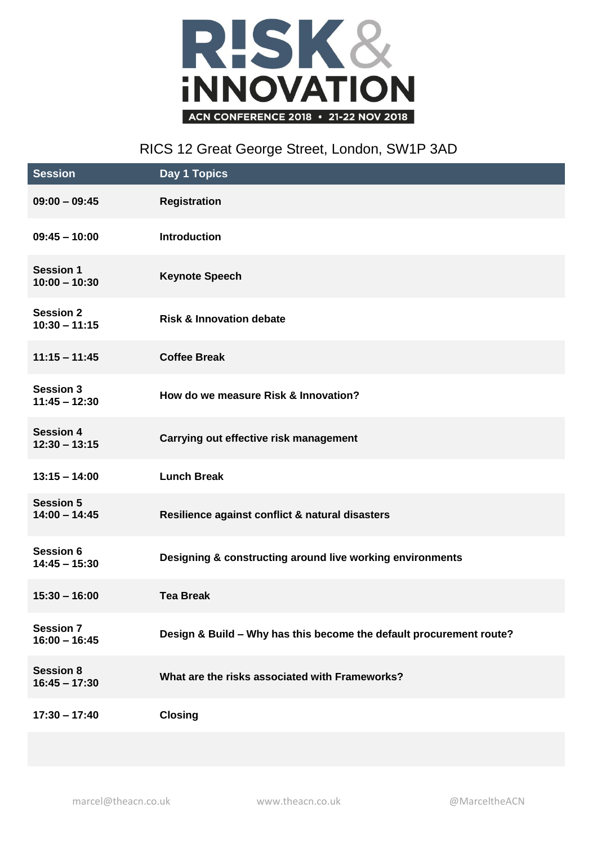

## RICS 12 Great George Street, London, SW1P 3AD

| <b>Session</b>                      | Day 1 Topics                                                        |
|-------------------------------------|---------------------------------------------------------------------|
| $09:00 - 09:45$                     | <b>Registration</b>                                                 |
| $09:45 - 10:00$                     | <b>Introduction</b>                                                 |
| <b>Session 1</b><br>$10:00 - 10:30$ | <b>Keynote Speech</b>                                               |
| <b>Session 2</b><br>$10:30 - 11:15$ | <b>Risk &amp; Innovation debate</b>                                 |
| $11:15 - 11:45$                     | <b>Coffee Break</b>                                                 |
| <b>Session 3</b><br>$11:45 - 12:30$ | How do we measure Risk & Innovation?                                |
| <b>Session 4</b><br>$12:30 - 13:15$ | Carrying out effective risk management                              |
| $13:15 - 14:00$                     | <b>Lunch Break</b>                                                  |
| <b>Session 5</b><br>$14:00 - 14:45$ | Resilience against conflict & natural disasters                     |
| <b>Session 6</b><br>$14:45 - 15:30$ | Designing & constructing around live working environments           |
| $15:30 - 16:00$                     | <b>Tea Break</b>                                                    |
| <b>Session 7</b><br>$16:00 - 16:45$ | Design & Build - Why has this become the default procurement route? |
| <b>Session 8</b><br>$16:45 - 17:30$ | What are the risks associated with Frameworks?                      |
| $17:30 - 17:40$                     | <b>Closing</b>                                                      |